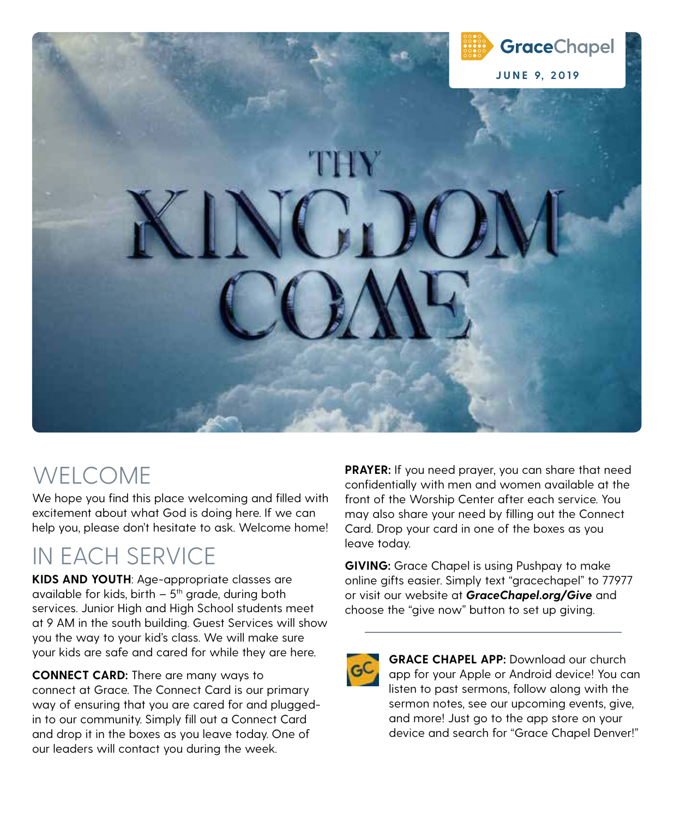

# WELCOME

We hope you find this place welcoming and filled with excitement about what God is doing here. If we can help you, please don't hesitate to ask. Welcome home!

# IN EACH SERVICE

**KIDS AND YOUTH**: Age-appropriate classes are available for kids, birth  $-5$ <sup>th</sup> grade, during both services. Junior High and High School students meet at 9 AM in the south building. Guest Services will show you the way to your kid's class. We will make sure your kids are safe and cared for while they are here.

**CONNECT CARD:** There are many ways to connect at Grace. The Connect Card is our primary way of ensuring that you are cared for and pluggedin to our community. Simply fill out a Connect Card and drop it in the boxes as you leave today. One of our leaders will contact you during the week.

**PRAYER:** If you need prayer, you can share that need confidentially with men and women available at the front of the Worship Center after each service. You may also share your need by filling out the Connect Card. Drop your card in one of the boxes as you leave today.

**GIVING:** Grace Chapel is using Pushpay to make online gifts easier. Simply text "gracechapel" to 77977 or visit our website at **GraceChapel.org/Give** and choose the "give now" button to set up giving.

 **GRACE CHAPEL APP:** Download our church app for your Apple or Android device! You can listen to past sermons, follow along with the sermon notes, see our upcoming events, give, and more! Just go to the app store on your device and search for "Grace Chapel Denver!"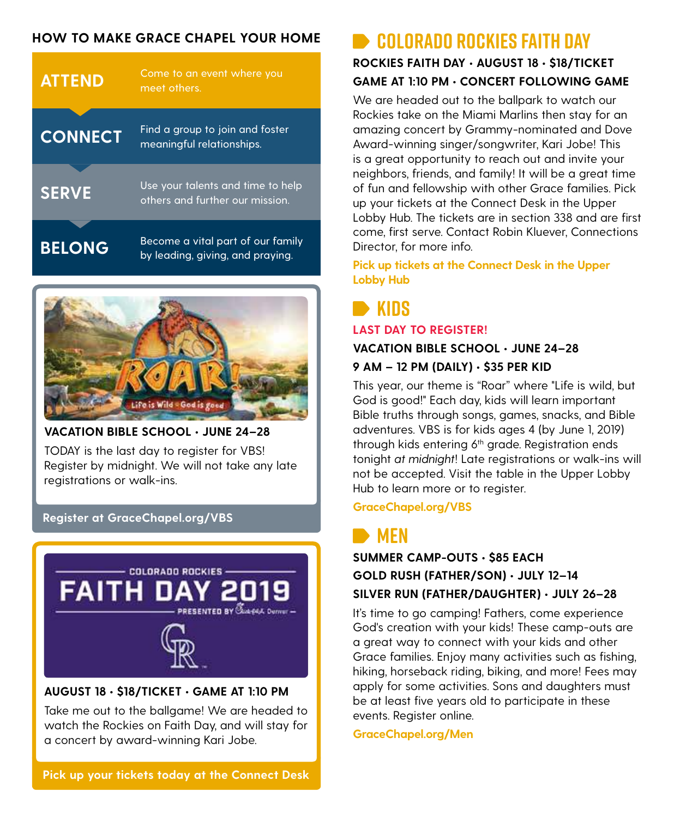### **HOW TO MAKE GRACE CHAPEL YOUR HOME COLORADO ROCKIES FAITH DAY**

| <b>ATTEND</b>  | Come to an event where you<br>meet others.                            |
|----------------|-----------------------------------------------------------------------|
| <b>CONNECT</b> | Find a group to join and foster<br>meaningful relationships.          |
| <b>SERVE</b>   | Use your talents and time to help<br>others and further our mission.  |
| <b>BELONG</b>  | Become a vital part of our family<br>by leading, giving, and praying. |



### **VACATION BIBLE SCHOOL • JUNE 24–28** TODAY is the last day to register for VBS! Register by midnight. We will not take any late registrations or walk-ins.

### **Register at GraceChapel.org/VBS**



### **AUGUST 18 • \$18/TICKET • GAME AT 1:10 PM**

Take me out to the ballgame! We are headed to watch the Rockies on Faith Day, and will stay for a concert by award-winning Kari Jobe.

# **ROCKIES FAITH DAY • AUGUST 18 • \$18/TICKET GAME AT 1:10 PM • CONCERT FOLLOWING GAME**

We are headed out to the ballpark to watch our Rockies take on the Miami Marlins then stay for an amazing concert by Grammy-nominated and Dove Award-winning singer/songwriter, Kari Jobe! This is a great opportunity to reach out and invite your neighbors, friends, and family! It will be a great time of fun and fellowship with other Grace families. Pick up your tickets at the Connect Desk in the Upper Lobby Hub. The tickets are in section 338 and are first come, first serve. Contact Robin Kluever, Connections Director, for more info.

**Pick up tickets at the Connect Desk in the Upper Lobby Hub**

### **KIDS LAST DAY TO REGISTER!**

#### **VACATION BIBLE SCHOOL • JUNE 24–28**

#### **9 AM – 12 PM (DAILY) • \$35 PER KID**

This year, our theme is "Roar" where "Life is wild, but God is good!" Each day, kids will learn important Bible truths through songs, games, snacks, and Bible adventures. VBS is for kids ages 4 (by June 1, 2019) through kids entering 6<sup>th</sup> grade. Registration ends tonight at midnight! Late registrations or walk-ins will not be accepted. Visit the table in the Upper Lobby Hub to learn more or to register.

**GraceChapel.org/VBS**

### **B** MEN

**SUMMER CAMP-OUTS • \$85 EACH GOLD RUSH (FATHER/SON) • JULY 12–14 SILVER RUN (FATHER/DAUGHTER) • JULY 26–28** 

It's time to go camping! Fathers, come experience God's creation with your kids! These camp-outs are a great way to connect with your kids and other Grace families. Enjoy many activities such as fishing, hiking, horseback riding, biking, and more! Fees may apply for some activities. Sons and daughters must be at least five years old to participate in these events. Register online.

**GraceChapel.org/Men**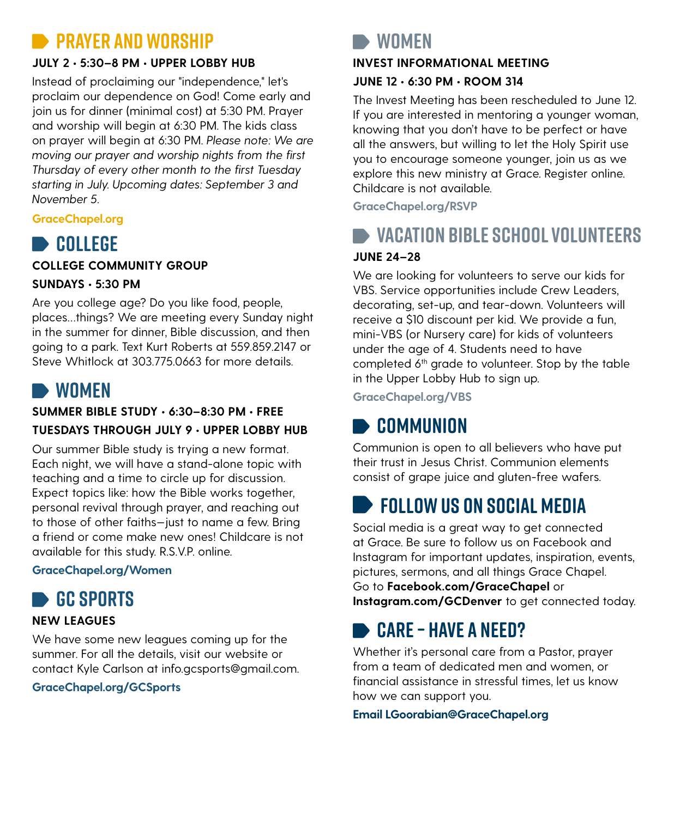### **RAYER AND WORSHIP**

### **JULY 2 • 5:30–8 PM • UPPER LOBBY HUB**

Instead of proclaiming our "independence," let's proclaim our dependence on God! Come early and join us for dinner (minimal cost) at 5:30 PM. Prayer and worship will begin at 6:30 PM. The kids class on prayer will begin at 6:30 PM. Please note: We are moving our prayer and worship nights from the first Thursday of every other month to the first Tuesday starting in July. Upcoming dates: September 3 and November 5.

### **GraceChapel.org**

### **B** COLLEGE

**COLLEGE COMMUNITY GROUP**

#### **SUNDAYS • 5:30 PM**

Are you college age? Do you like food, people, places…things? We are meeting every Sunday night in the summer for dinner, Bible discussion, and then going to a park. Text Kurt Roberts at 559.859.2147 or Steve Whitlock at 303.775.0663 for more details.

### **WOMEN**

### **SUMMER BIBLE STUDY • 6:30–8:30 PM • FREE TUESDAYS THROUGH JULY 9 • UPPER LOBBY HUB**

Our summer Bible study is trying a new format. Each night, we will have a stand-alone topic with teaching and a time to circle up for discussion. Expect topics like: how the Bible works together, personal revival through prayer, and reaching out to those of other faiths—just to name a few. Bring a friend or come make new ones! Childcare is not available for this study. R.S.V.P. online.

### **GraceChapel.org/Women**

## **GC SPORTS**

### **NEW LEAGUES**

We have some new leagues coming up for the summer. For all the details, visit our website or contact Kyle Carlson at info.gcsports@gmail.com.

### **GraceChapel.org/GCSports**

### **WOMEN**

### **INVEST INFORMATIONAL MEETING JUNE 12 • 6:30 PM • ROOM 314**

The Invest Meeting has been rescheduled to June 12. If you are interested in mentoring a younger woman, knowing that you don't have to be perfect or have all the answers, but willing to let the Holy Spirit use you to encourage someone younger, join us as we explore this new ministry at Grace. Register online. Childcare is not available.

**GraceChapel.org/RSVP**

## **VACATION BIBLE SCHOOL VOLUNTEERS**

### **JUNE 24–28**

We are looking for volunteers to serve our kids for VBS. Service opportunities include Crew Leaders, decorating, set-up, and tear-down. Volunteers will receive a \$10 discount per kid. We provide a fun, mini-VBS (or Nursery care) for kids of volunteers under the age of 4. Students need to have completed 6<sup>th</sup> grade to volunteer. Stop by the table in the Upper Lobby Hub to sign up.

**GraceChapel.org/VBS**

### **COMMUNION**

Communion is open to all believers who have put their trust in Jesus Christ. Communion elements consist of grape juice and gluten-free wafers.

## **FOLLOW US ON SOCIAL MEDIA**

Social media is a great way to get connected at Grace. Be sure to follow us on Facebook and Instagram for important updates, inspiration, events, pictures, sermons, and all things Grace Chapel. Go to **Facebook.com/GraceChapel** or **Instagram.com/GCDenver** to get connected today.

## **CARE – HAVE A NEED?**

Whether it's personal care from a Pastor, prayer from a team of dedicated men and women, or financial assistance in stressful times, let us know how we can support you.

#### **Email LGoorabian@GraceChapel.org**